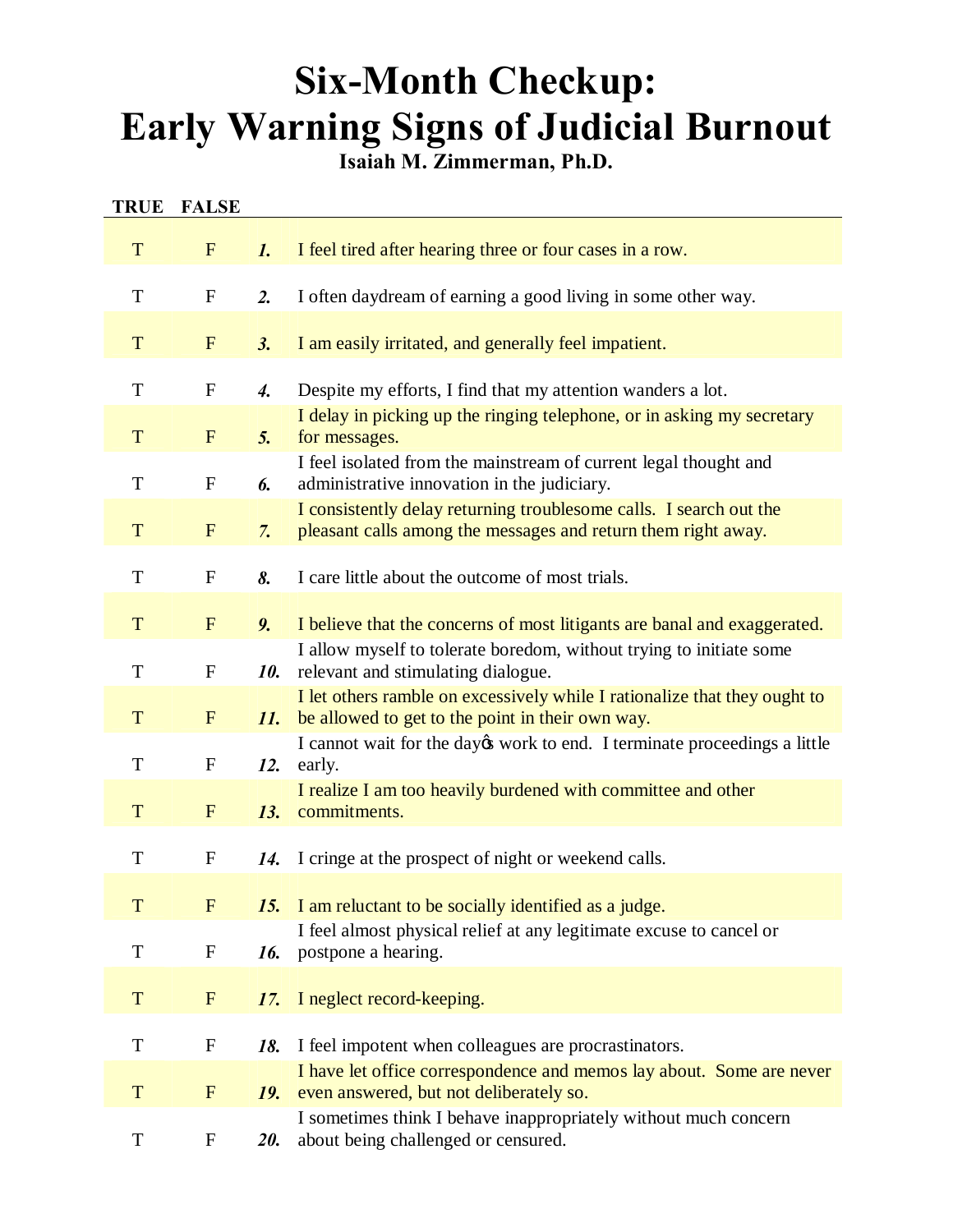# **Six-Month Checkup: Early Warning Signs of Judicial Burnout**

**Isaiah M. Zimmerman, Ph.D.**

| <b>TRUE</b> | <b>FALSE</b>     |                    |                                                                                                                                     |
|-------------|------------------|--------------------|-------------------------------------------------------------------------------------------------------------------------------------|
| T           | $\mathbf{F}$     | $\mathbf{1}$ .     | I feel tired after hearing three or four cases in a row.                                                                            |
| T           | $\mathbf F$      | 2.                 | I often daydream of earning a good living in some other way.                                                                        |
| T           | F                | 3.                 | I am easily irritated, and generally feel impatient.                                                                                |
| T           | $\mathbf F$      | $\boldsymbol{4}$ . | Despite my efforts, I find that my attention wanders a lot.                                                                         |
| T           | $\mathbf{F}$     | 5.                 | I delay in picking up the ringing telephone, or in asking my secretary<br>for messages.                                             |
| $\mathbf T$ | $\mathbf F$      | 6.                 | I feel isolated from the mainstream of current legal thought and<br>administrative innovation in the judiciary.                     |
| T           | F                | 7.                 | I consistently delay returning troublesome calls. I search out the<br>pleasant calls among the messages and return them right away. |
| T           | $\mathbf F$      | 8.                 | I care little about the outcome of most trials.                                                                                     |
| T           | $\mathbf{F}$     | 9.                 | I believe that the concerns of most litigants are banal and exaggerated.                                                            |
| T           | $\mathbf F$      | 10.                | I allow myself to tolerate boredom, without trying to initiate some<br>relevant and stimulating dialogue.                           |
| T           | $\mathbf{F}$     | 11.                | I let others ramble on excessively while I rationalize that they ought to<br>be allowed to get to the point in their own way.       |
| T           | $\mathbf{F}$     | 12.                | I cannot wait for the day twork to end. I terminate proceedings a little<br>early.                                                  |
| T           | $\mathbf{F}$     | 13.                | I realize I am too heavily burdened with committee and other<br>commitments.                                                        |
| T           | $\mathbf F$      | 14.                | I cringe at the prospect of night or weekend calls.                                                                                 |
| T           | $\mathbf{F}$     | 15.                | I am reluctant to be socially identified as a judge.                                                                                |
| $\mathbf T$ | $\mathbf{F}$     | 16.                | I feel almost physical relief at any legitimate excuse to cancel or<br>postpone a hearing.                                          |
| T           | $\mathbf{F}$     | 17.                | I neglect record-keeping.                                                                                                           |
| $\mathbf T$ | $\mathbf F$      | 18.                | I feel impotent when colleagues are procrastinators.                                                                                |
| T           | F                | 19.                | I have let office correspondence and memos lay about. Some are never<br>even answered, but not deliberately so.                     |
| ${\bf T}$   | $\boldsymbol{F}$ | <b>20.</b>         | I sometimes think I behave inappropriately without much concern<br>about being challenged or censured.                              |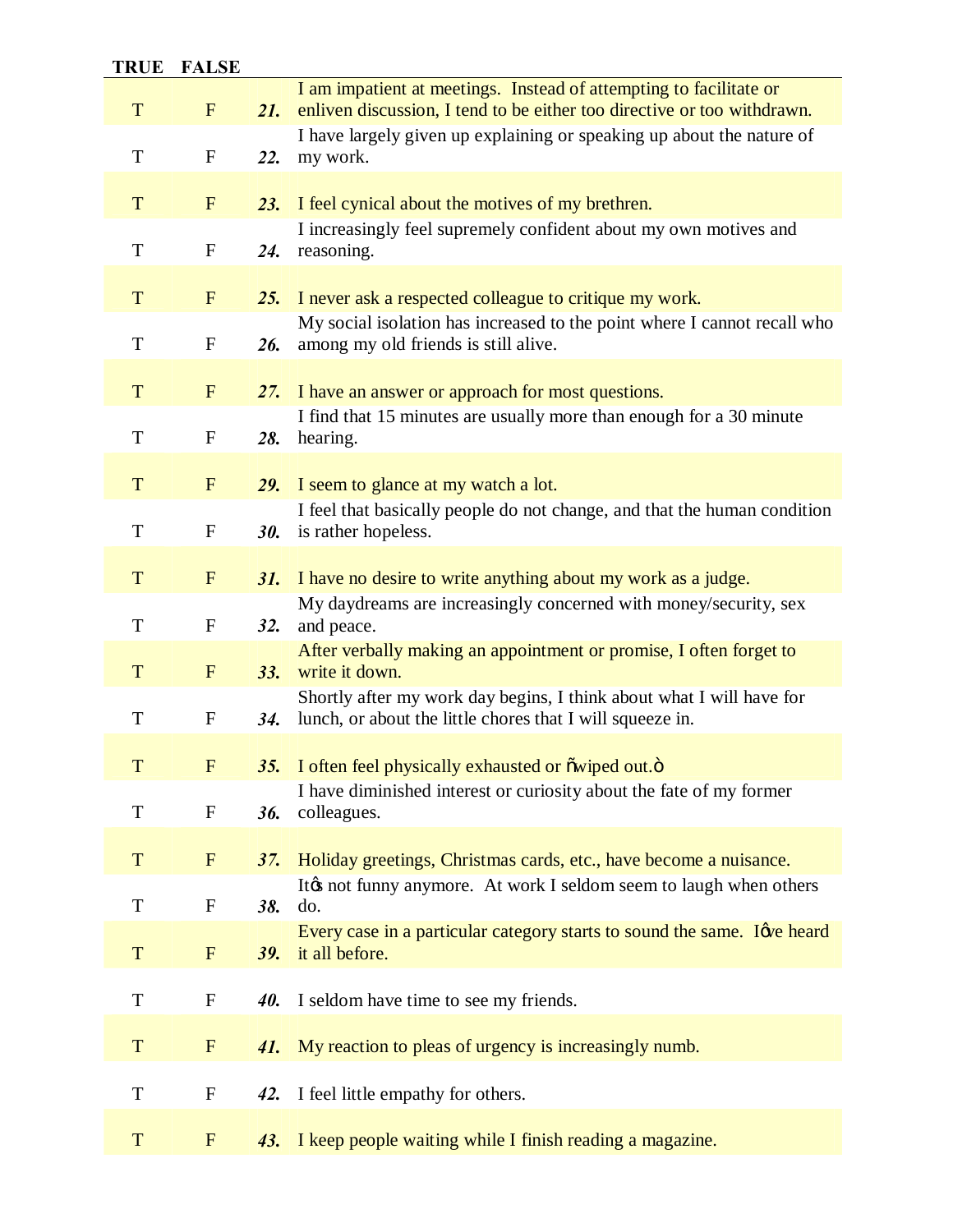## **TRUE FALSE**

| T           | $F_{\rm}$                 | 21.        | I am impatient at meetings. Instead of attempting to facilitate or<br>enliven discussion, I tend to be either too directive or too withdrawn. |
|-------------|---------------------------|------------|-----------------------------------------------------------------------------------------------------------------------------------------------|
| T           | ${\bf F}$                 | 22.        | I have largely given up explaining or speaking up about the nature of<br>my work.                                                             |
| T           | $F_{\rm}$                 | 23.        | I feel cynical about the motives of my brethren.                                                                                              |
| $\mathbf T$ | $\boldsymbol{\mathrm{F}}$ | 24.        | I increasingly feel supremely confident about my own motives and<br>reasoning.                                                                |
| T           | $\mathbf{F}$              | 25.        | I never ask a respected colleague to critique my work.                                                                                        |
| $\mathbf T$ | ${\bf F}$                 | 26.        | My social isolation has increased to the point where I cannot recall who<br>among my old friends is still alive.                              |
| T           | $F_{\rm}$                 | 27.        | I have an answer or approach for most questions.                                                                                              |
| $\mathbf T$ | $\boldsymbol{\mathrm{F}}$ | 28.        | I find that 15 minutes are usually more than enough for a 30 minute<br>hearing.                                                               |
| T           | F                         | <b>29.</b> | I seem to glance at my watch a lot.                                                                                                           |
| $\mathbf T$ | $\mathbf F$               | <b>30.</b> | I feel that basically people do not change, and that the human condition<br>is rather hopeless.                                               |
| T           | $F_{\rm}$                 | 31.        | I have no desire to write anything about my work as a judge.                                                                                  |
| T           | $\boldsymbol{\mathrm{F}}$ | 32.        | My daydreams are increasingly concerned with money/security, sex<br>and peace.                                                                |
| T           | $F_{\rm}$                 | 33.        | After verbally making an appointment or promise, I often forget to<br>write it down.                                                          |
| T           | $\boldsymbol{\mathrm{F}}$ | 34.        | Shortly after my work day begins, I think about what I will have for<br>lunch, or about the little chores that I will squeeze in.             |
| T           | $\mathbf{F}$              | <b>35.</b> | I often feel physically exhausted or owiped out.o                                                                                             |
| T           | $\mathbf{F}$              | 36.        | I have diminished interest or curiosity about the fate of my former<br>colleagues.                                                            |
| T           | $\mathbf{F}$              | 37.        | Holiday greetings, Christmas cards, etc., have become a nuisance.                                                                             |
| T           | $\mathbf{F}$              | 38.        | Itøs not funny anymore. At work I seldom seem to laugh when others<br>do.                                                                     |
| T           | F                         | <b>39.</b> | Every case in a particular category starts to sound the same. I give heard<br>it all before.                                                  |
| T           | $\mathbf F$               | 40.        | I seldom have time to see my friends.                                                                                                         |
| T           | $\mathbf{F}$              | 41.        | My reaction to pleas of urgency is increasingly numb.                                                                                         |
| T           | $\mathbf F$               | 42.        | I feel little empathy for others.                                                                                                             |
| T           | $\mathbf{F}$              | 43.        | I keep people waiting while I finish reading a magazine.                                                                                      |